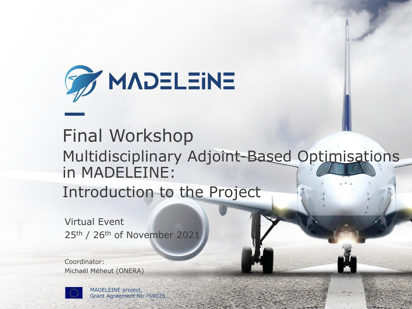

### Final Workshop Multidisciplinary Adjoint-Based Optimisations in MADELEINE:

Introduction to the Project

Virtual Event 25<sup>th</sup> / 26<sup>th</sup> of November 2021

Coordinator: Michaël Méheut (ONERA)



MADELEINE project, Grant Agreement No 769025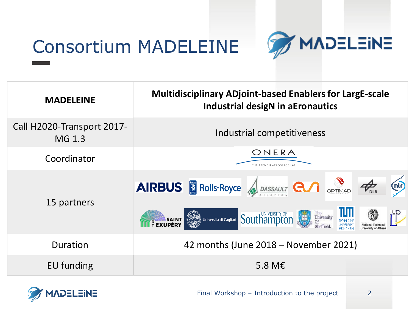## Consortium MADELEINE



| <b>MADELEINE</b>                     | <b>Multidisciplinary ADjoint-based Enablers for LargE-scale</b><br><b>Industrial desigN in aEronautics</b>                                                                                                                        |
|--------------------------------------|-----------------------------------------------------------------------------------------------------------------------------------------------------------------------------------------------------------------------------------|
| Call H2020-Transport 2017-<br>MG 1.3 | Industrial competitiveness                                                                                                                                                                                                        |
| Coordinator                          | ONERA<br>THE FRENCH AEROSPACE LAB                                                                                                                                                                                                 |
| 15 partners                          | AIRBUS <b>R</b> Rolls-Royce <b>A</b> DASSAULT <b>COM</b> OPTIMAD <b>PAR</b><br>(nlr)<br>up,<br>The<br>University<br><b>Southampton</b><br><b>Article State</b> Università di Cagliari<br><b>REXUPÉRY</b><br>Sheffield<br>atinghen |
| Duration                             | 42 months (June 2018 - November 2021)                                                                                                                                                                                             |
| EU funding                           | 5.8 M $\epsilon$                                                                                                                                                                                                                  |

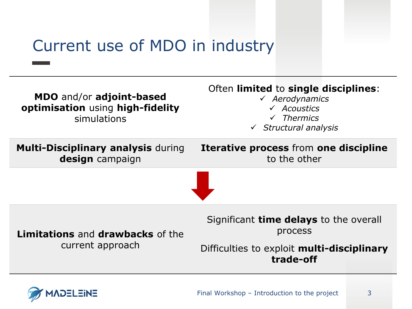### Current use of MDO in industry



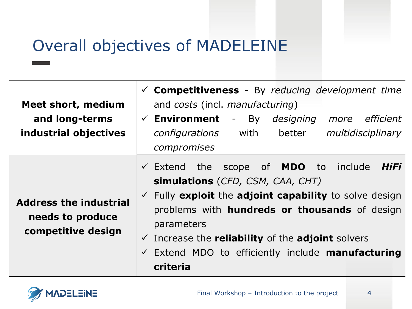### Overall objectives of MADELEINE

**Meet short, medium and long-terms industrial objectives**

**Address the industrial needs to produce competitive design**

- ✓ **Competitiveness** By *reducing development time* and *costs* (incl. *manufacturing*)
- ✓ **Environment** By *designing more efficient configurations* with better *multidisciplinary compromises*
- ✓ Extend the scope of **MDO** to include *HiFi* **simulations** (*CFD, CSM, CAA, CHT)*
- ✓ Fully **exploit** the **adjoint capability** to solve design problems with **hundreds or thousands** of design parameters
- ✓ Increase the **reliability** of the **adjoint** solvers
- ✓ Extend MDO to efficiently include **manufacturing criteria**

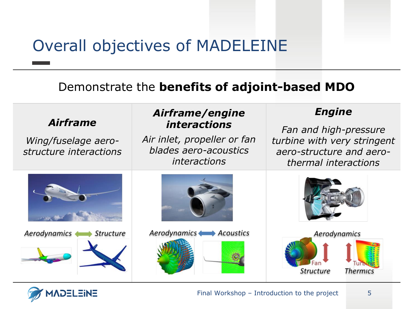### Overall objectives of MADELEINE

#### Demonstrate the **benefits of adjoint-based MDO**



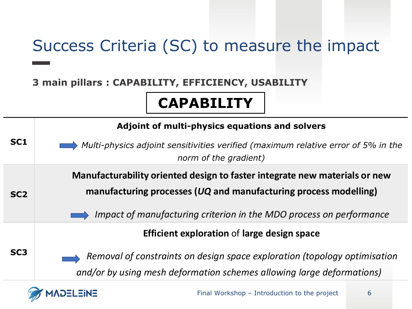### Success Criteria (SC) to measure the impact

#### **3 main pillars : CAPABILITY, EFFICIENCY, USABILITY**

**ADELEINE** 

### **CAPABILITY**

|                 | Adjoint of multi-physics equations and solvers                                                                                                                                                                           |
|-----------------|--------------------------------------------------------------------------------------------------------------------------------------------------------------------------------------------------------------------------|
| SC <sub>1</sub> | Multi-physics adjoint sensitivities verified (maximum relative error of 5% in the<br>norm of the gradient)                                                                                                               |
| SC <sub>2</sub> | Manufacturability oriented design to faster integrate new materials or new<br>manufacturing processes ( $UQ$ and manufacturing process modelling)<br>Impact of manufacturing criterion in the MDO process on performance |
| SC <sub>3</sub> | <b>Efficient exploration of large design space</b><br>Removal of constraints on design space exploration (topology optimisation<br>and/or by using mesh deformation schemes allowing large deformations)                 |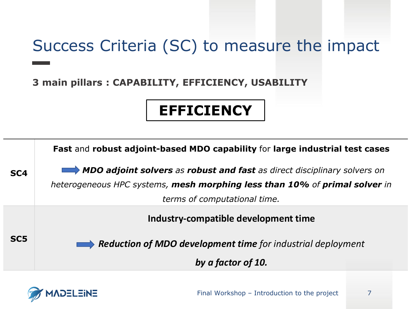### Success Criteria (SC) to measure the impact

**3 main pillars : CAPABILITY, EFFICIENCY, USABILITY**

### **EFFICIENCY**

|                 | Fast and robust adjoint-based MDO capability for large industrial test cases |
|-----------------|------------------------------------------------------------------------------|
| SC <sub>4</sub> | MDO adjoint solvers as robust and fast as direct disciplinary solvers on     |
|                 | heterogeneous HPC systems, mesh morphing less than 10% of primal solver in   |
|                 | terms of computational time.                                                 |
|                 | Industry-compatible development time                                         |
| SC <sub>5</sub> |                                                                              |
|                 | <b>Reduction of MDO development time</b> for industrial deployment           |
|                 | by a factor of 10.                                                           |

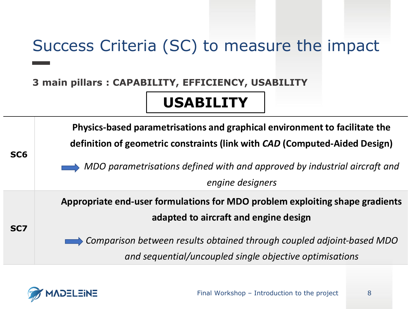### Success Criteria (SC) to measure the impact

#### **3 main pillars : CAPABILITY, EFFICIENCY, USABILITY**

### **USABILITY**



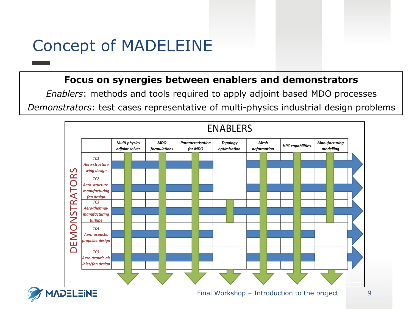### Concept of MADELEINE

#### **Focus on synergies between enablers and demonstrators**

*Enablers*: methods and tools required to apply adjoint based MDO processes *Demonstrators*: test cases representative of multi-physics industrial design problems

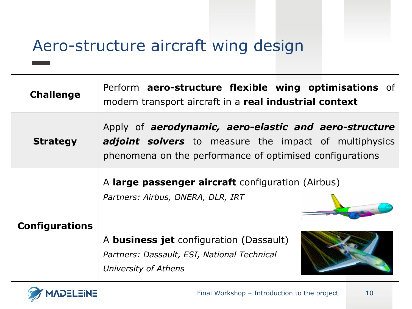### Aero-structure aircraft wing design

| <b>Challenge</b>      | Perform aero-structure flexible wing optimisations of<br>modern transport aircraft in a real industrial context                                                                          |
|-----------------------|------------------------------------------------------------------------------------------------------------------------------------------------------------------------------------------|
| <b>Strategy</b>       | Apply of <b>aerodynamic, aero-elastic and aero-structure</b><br><b>adjoint solvers</b> to measure the impact of multiphysics<br>phenomena on the performance of optimised configurations |
|                       | A large passenger aircraft configuration (Airbus)<br>Partners: Airbus, ONERA, DLR, IRT                                                                                                   |
| <b>Configurations</b> | A <b>business jet</b> configuration (Dassault)<br>Partners: Dassault, ESI, National Technical<br>University of Athens                                                                    |

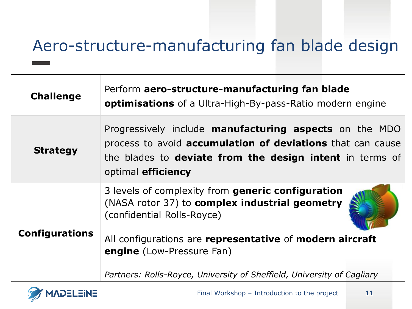### Aero-structure-manufacturing fan blade design

| <b>Challenge</b>      | Perform aero-structure-manufacturing fan blade<br><b>optimisations</b> of a Ultra-High-By-pass-Ratio modern engine                                                                                                          |
|-----------------------|-----------------------------------------------------------------------------------------------------------------------------------------------------------------------------------------------------------------------------|
| <b>Strategy</b>       | Progressively include <b>manufacturing aspects</b> on the MDO<br>process to avoid <b>accumulation of deviations</b> that can cause<br>the blades to <b>deviate from the design intent</b> in terms of<br>optimal efficiency |
| <b>Configurations</b> | 3 levels of complexity from generic configuration<br>(NASA rotor 37) to complex industrial geometry<br>(confidential Rolls-Royce)                                                                                           |
|                       | All configurations are representative of modern aircraft<br><b>engine</b> (Low-Pressure Fan)                                                                                                                                |
|                       | Partners: Rolls-Royce, University of Sheffield, University of Cagliary                                                                                                                                                      |

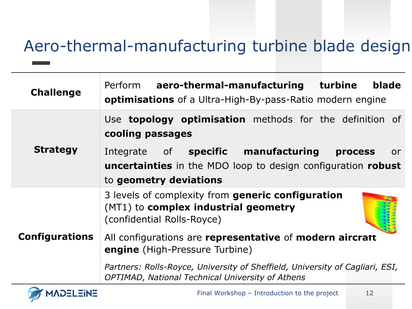### Aero-thermal-manufacturing turbine blade design

| <b>Challenge</b>      | blade<br>Perform aero-thermal-manufacturing turbine<br>optimisations of a Ultra-High-By-pass-Ratio modern engine                                                            |
|-----------------------|-----------------------------------------------------------------------------------------------------------------------------------------------------------------------------|
|                       | Use <b>topology optimisation</b> methods for the definition of<br>cooling passages                                                                                          |
| <b>Strategy</b>       | Integrate of <b>specific manufacturing</b><br><b>process</b><br>or.<br><b>uncertainties</b> in the MDO loop to design configuration <b>robust</b><br>to geometry deviations |
|                       | 3 levels of complexity from generic configuration<br>(MT1) to <b>complex industrial geometry</b><br>(confidential Rolls-Royce)                                              |
| <b>Configurations</b> | All configurations are representative of modern aircratt<br><b>engine</b> (High-Pressure Turbine)                                                                           |
|                       | Partners: Rolls-Royce, University of Sheffield, University of Cagliari, ESI,<br><b>OPTIMAD, National Technical University of Athens</b>                                     |

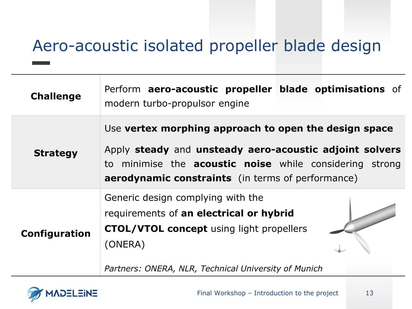### Aero-acoustic isolated propeller blade design

| <b>Challenge</b> | Perform aero-acoustic propeller blade optimisations of<br>modern turbo-propulsor engine                                                                                                                                                        |
|------------------|------------------------------------------------------------------------------------------------------------------------------------------------------------------------------------------------------------------------------------------------|
| <b>Strategy</b>  | Use vertex morphing approach to open the design space<br>Apply steady and unsteady aero-acoustic adjoint solvers<br>to minimise the <b>acoustic noise</b> while considering strong<br><b>aerodynamic constraints</b> (in terms of performance) |
| Configuration    | Generic design complying with the<br>requirements of an electrical or hybrid<br><b>CTOL/VTOL concept</b> using light propellers<br>(ONERA)<br>Partners: ONERA, NLR, Technical University of Munich                                             |

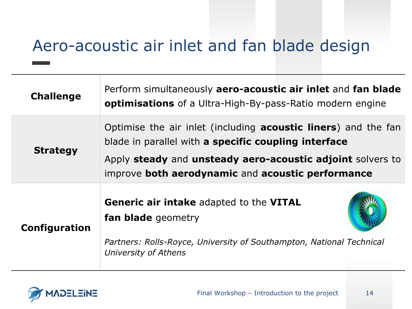### Aero-acoustic air inlet and fan blade design

| <b>Challenge</b> | Perform simultaneously aero-acoustic air inlet and fan blade<br><b>optimisations</b> of a Ultra-High-By-pass-Ratio modern engine |
|------------------|----------------------------------------------------------------------------------------------------------------------------------|
| <b>Strategy</b>  | Optimise the air inlet (including <b>acoustic liners</b> ) and the fan<br>blade in parallel with a specific coupling interface   |
|                  | Apply steady and unsteady aero-acoustic adjoint solvers to<br>improve both aerodynamic and acoustic performance                  |
| Configuration    | <b>Generic air intake adapted to the VITAL</b><br><b>fan blade</b> geometry                                                      |
|                  | Partners: Rolls-Royce, University of Southampton, National Technical<br>University of Athens                                     |

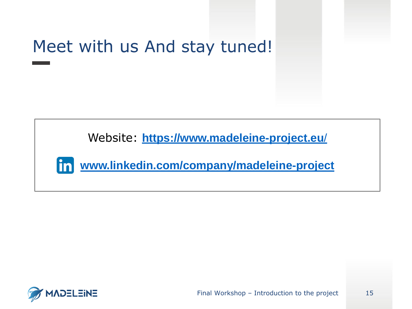# Meet with us And stay tuned!

Website: **[https://www.madeleine-project.eu](https://www.madeleine-project.eu/)**/



**[www.linkedin.com/company/madeleine-project](http://www.linkedin.com/company/madeleine-project/)**